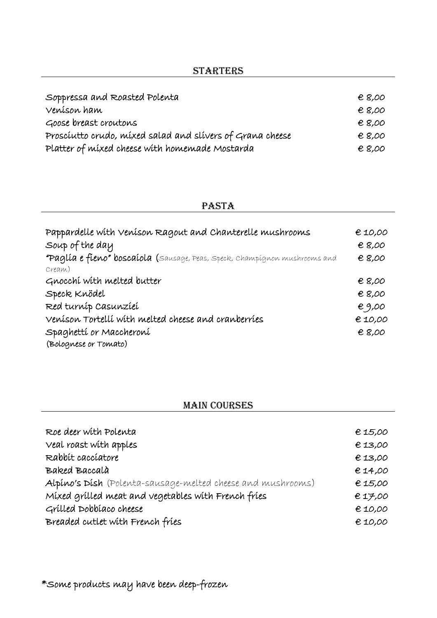| Soppressa and Roasted Polenta                             | $E$ 8,00 |
|-----------------------------------------------------------|----------|
| Veníson ham                                               | € 8,00   |
| Goose breast croutons                                     | $E$ 8,00 |
| Prosciutto crudo, mixed salad and slivers of Grana cheese | € 8,00   |
| Platter of mixed cheese with homemade Mostarda            | $E$ 8,00 |

#### **PASTA**

| Pappardelle with Venison Ragout and Chanterelle mushrooms<br>Soup of the day<br>"Paglía e fieno" boscaíola (sausage, Peas, Speck, Champignon mushrooms and | € 10,00<br>€ 8,00<br>€ 8,00 |
|------------------------------------------------------------------------------------------------------------------------------------------------------------|-----------------------------|
| Cream)<br>Gnocchi with melted butter<br>Speck Knödel                                                                                                       | € 8,00<br>€ 8,00            |
| Red turnip Casunziei<br>Venison Tortelli with melted cheese and cranberries<br>Spaghettí or Maccheroní<br>(Bolognese or Tomato)                            | e9,00<br>€ 10,00<br>€ 8,00  |

## MAIN COURSES

| Roe deer with Polenta                                       | €15,00    |
|-------------------------------------------------------------|-----------|
| Veal roast with apples                                      | E13,00    |
| Rabbit cacciatore                                           | E13,00    |
| Baked Baccalà                                               | E14,00    |
| Alpino's Dish (Polenta-sausage-melted cheese and mushrooms) | $E$ 15,00 |
| Mixed grilled meat and vegetables with French fries         | E17,00    |
| Grilled Dobbiaco cheese                                     | E10,00    |
| Breaded cutlet with French fries                            | € 10,00   |